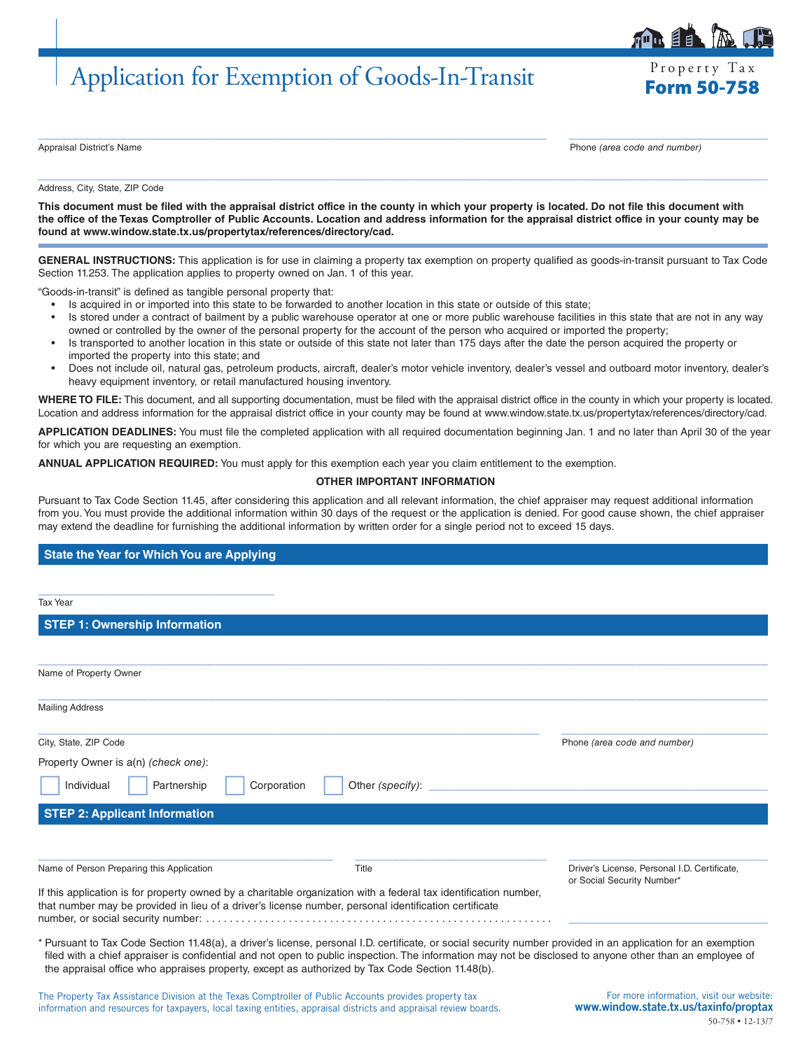## Application for Exemption of Goods-In-Transit

Property Tax

自目

 $\_$  ,  $\_$  ,  $\_$  ,  $\_$  ,  $\_$  ,  $\_$  ,  $\_$  ,  $\_$  ,  $\_$  ,  $\_$  ,  $\_$  ,  $\_$  ,  $\_$  ,  $\_$  ,  $\_$  ,  $\_$  ,  $\_$  ,  $\_$  ,  $\_$  ,  $\_$  ,  $\_$  ,  $\_$  ,  $\_$  ,  $\_$  ,  $\_$  ,  $\_$  ,  $\_$  ,  $\_$  ,  $\_$  ,  $\_$  ,  $\_$  ,  $\_$  ,  $\_$  ,  $\_$  ,  $\_$  ,  $\_$  ,  $\_$  , Appraisal District's Name Phone *(area code and number)*

Address, City, State, ZIP Code

**This document must be filed with the appraisal district office in the county in which your property is located. Do not file this document with the office of the Texas Comptroller of Public Accounts. Location and address information for the appraisal district office in your county may be found at www.window.state.tx.us/propertytax/references/directory/cad.**

 $\_$  , and the set of the set of the set of the set of the set of the set of the set of the set of the set of the set of the set of the set of the set of the set of the set of the set of the set of the set of the set of th

**GENERAL INSTRUCTIONS:** This application is for use in claiming a property tax exemption on property qualified as goods-in-transit pursuant to Tax Code Section 11.253. The application applies to property owned on Jan. 1 of this year.

"Goods-in-transit" is defined as tangible personal property that:

- Is acquired in or imported into this state to be forwarded to another location in this state or outside of this state;
- Is stored under a contract of bailment by a public warehouse operator at one or more public warehouse facilities in this state that are not in any way owned or controlled by the owner of the personal property for the account of the person who acquired or imported the property;
- Is transported to another location in this state or outside of this state not later than 175 days after the date the person acquired the property or imported the property into this state; and
- Does not include oil, natural gas, petroleum products, aircraft, dealer's motor vehicle inventory, dealer's vessel and outboard motor inventory, dealer's heavy equipment inventory, or retail manufactured housing inventory.

WHERE TO FILE: This document, and all supporting documentation, must be filed with the appraisal district office in the county in which your property is located. Location and address information for the appraisal district office in your county may be found at www.window.state.tx.us/propertytax/references/directory/cad.

**APPLICATION DEADLINES:** You must file the completed application with all required documentation beginning Jan. 1 and no later than April 30 of the year for which you are requesting an exemption.

**ANNUAL APPLICATION REQUIRED:** You must apply for this exemption each year you claim entitlement to the exemption.

## **OTHER IMPORTANT INFORMATION**

Pursuant to Tax Code Section 11.45, after considering this application and all relevant information, the chief appraiser may request additional information from you. You must provide the additional information within 30 days of the request or the application is denied. For good cause shown, the chief appraiser may extend the deadline for furnishing the additional information by written order for a single period not to exceed 15 days.

## **State the Year for Which You are Applying**

| <b>Tax Year</b>                                                                                                                                                                                                           |                  |                                                                            |
|---------------------------------------------------------------------------------------------------------------------------------------------------------------------------------------------------------------------------|------------------|----------------------------------------------------------------------------|
| <b>STEP 1: Ownership Information</b>                                                                                                                                                                                      |                  |                                                                            |
|                                                                                                                                                                                                                           |                  |                                                                            |
| Name of Property Owner                                                                                                                                                                                                    |                  |                                                                            |
| <b>Mailing Address</b>                                                                                                                                                                                                    |                  |                                                                            |
| City, State, ZIP Code                                                                                                                                                                                                     |                  | Phone (area code and number)                                               |
| Property Owner is a(n) (check one):                                                                                                                                                                                       |                  |                                                                            |
| Individual<br>Partnership<br>Corporation                                                                                                                                                                                  | Other (specify): |                                                                            |
| <b>STEP 2: Applicant Information</b>                                                                                                                                                                                      |                  |                                                                            |
|                                                                                                                                                                                                                           |                  |                                                                            |
| Name of Person Preparing this Application                                                                                                                                                                                 | Title            | Driver's License, Personal I.D. Certificate,<br>or Social Security Number* |
| If this application is for property owned by a charitable organization with a federal tax identification number,<br>that number may be provided in lieu of a driver's license number, personal identification certificate |                  |                                                                            |
| * Pursuant to Tax Code Section 11.48(a), a driver's license, personal I.D. certificate, or social security number provided in an application for an exemption                                                             |                  |                                                                            |

filed with a chief appraiser is confidential and not open to public inspection. The information may not be disclosed to anyone other than an employee of the appraisal office who appraises property, except as authorized by Tax Code Section 11.48(b).

The Property Tax Assistance Division at the Texas Comptroller of Public Accounts provides property tax information and resources for taxpayers, local taxing entities, appraisal districts and appraisal review boards.

For more information, visit our website: www.window.state.tx.us/taxinfo/proptax 50-758 • 12-13/7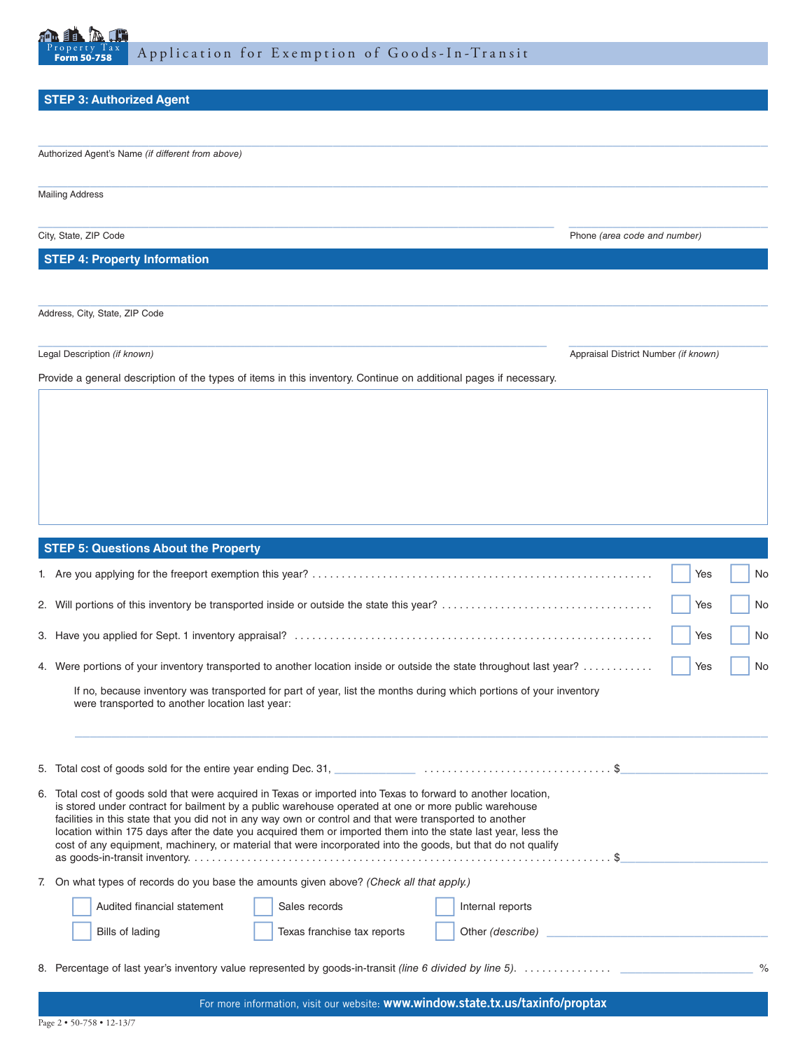

 $\_$  , and the set of the set of the set of the set of the set of the set of the set of the set of the set of the set of the set of the set of the set of the set of the set of the set of the set of the set of the set of th

 $\_$  , and the set of the set of the set of the set of the set of the set of the set of the set of the set of the set of the set of the set of the set of the set of the set of the set of the set of the set of the set of th

 $\_$  ,  $\_$  ,  $\_$  ,  $\_$  ,  $\_$  ,  $\_$  ,  $\_$  ,  $\_$  ,  $\_$  ,  $\_$  ,  $\_$  ,  $\_$  ,  $\_$  ,  $\_$  ,  $\_$  ,  $\_$  ,  $\_$  ,  $\_$  ,  $\_$  ,  $\_$  ,  $\_$  ,  $\_$  ,  $\_$  ,  $\_$  ,  $\_$  ,  $\_$  ,  $\_$  ,  $\_$  ,  $\_$  ,  $\_$  ,  $\_$  ,  $\_$  ,  $\_$  ,  $\_$  ,  $\_$  ,  $\_$  ,  $\_$  ,

 $\_$  , and the set of the set of the set of the set of the set of the set of the set of the set of the set of the set of the set of the set of the set of the set of the set of the set of the set of the set of the set of th

## **STEP 3: Authorized Agent**

Authorized Agent's Name *(if different from above)*

Mailing Address

City, State, ZIP Code **Phone** *(area code and number)* Phone *(area code and number)* 

**STEP 4: Property Information**

Address, City, State, ZIP Code

 $\_$  , and the set of the set of the set of the set of the set of the set of the set of the set of the set of the set of the set of the set of the set of the set of the set of the set of the set of the set of the set of th Legal Description *(if known)* Appraisal District Number *(if known)* Appraisal District Number *(if known)* Appraisal District Number *(if known)* 

Provide a general description of the types of items in this inventory. Continue on additional pages if necessary.

| <b>STEP 5: Questions About the Property</b>                                                                                                                                                                                                                                                                                                                                                                                                                                                                                                                         |               |  |  |  |  |  |  |
|---------------------------------------------------------------------------------------------------------------------------------------------------------------------------------------------------------------------------------------------------------------------------------------------------------------------------------------------------------------------------------------------------------------------------------------------------------------------------------------------------------------------------------------------------------------------|---------------|--|--|--|--|--|--|
| Yes                                                                                                                                                                                                                                                                                                                                                                                                                                                                                                                                                                 | No            |  |  |  |  |  |  |
| Yes                                                                                                                                                                                                                                                                                                                                                                                                                                                                                                                                                                 | No            |  |  |  |  |  |  |
| Yes                                                                                                                                                                                                                                                                                                                                                                                                                                                                                                                                                                 | No            |  |  |  |  |  |  |
| 4. Were portions of your inventory transported to another location inside or outside the state throughout last year?<br>Yes                                                                                                                                                                                                                                                                                                                                                                                                                                         | No            |  |  |  |  |  |  |
| If no, because inventory was transported for part of year, list the months during which portions of your inventory<br>were transported to another location last year:                                                                                                                                                                                                                                                                                                                                                                                               |               |  |  |  |  |  |  |
|                                                                                                                                                                                                                                                                                                                                                                                                                                                                                                                                                                     |               |  |  |  |  |  |  |
| 6. Total cost of goods sold that were acquired in Texas or imported into Texas to forward to another location,<br>is stored under contract for bailment by a public warehouse operated at one or more public warehouse<br>facilities in this state that you did not in any way own or control and that were transported to another<br>location within 175 days after the date you acquired them or imported them into the state last year, less the<br>cost of any equipment, machinery, or material that were incorporated into the goods, but that do not qualify |               |  |  |  |  |  |  |
| 7. On what types of records do you base the amounts given above? (Check all that apply.)                                                                                                                                                                                                                                                                                                                                                                                                                                                                            |               |  |  |  |  |  |  |
| Audited financial statement<br>Sales records<br>Internal reports<br>Bills of lading<br>Texas franchise tax reports                                                                                                                                                                                                                                                                                                                                                                                                                                                  |               |  |  |  |  |  |  |
| 8. Percentage of last year's inventory value represented by goods-in-transit (line 6 divided by line 5).                                                                                                                                                                                                                                                                                                                                                                                                                                                            | $\frac{0}{0}$ |  |  |  |  |  |  |